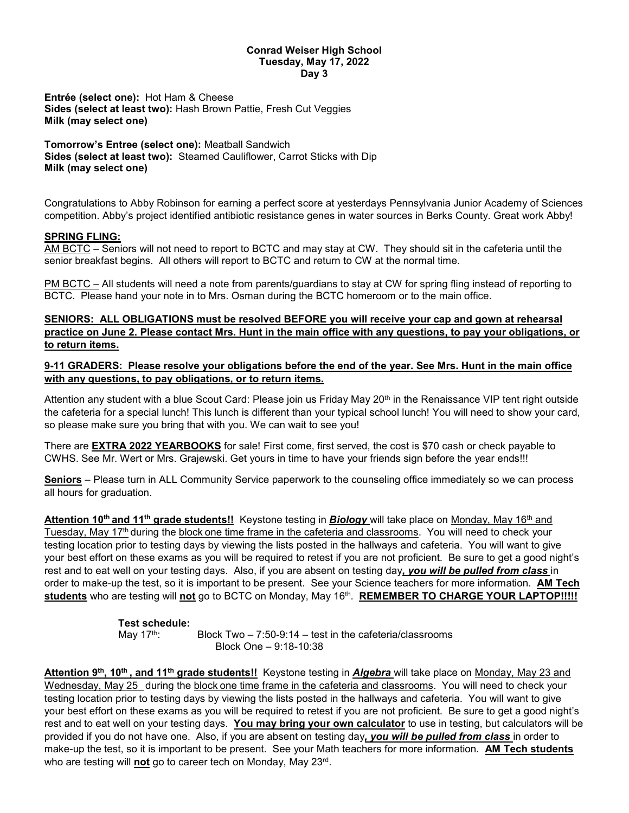#### **Conrad Weiser High School Tuesday, May 17, 2022 Day 3**

**Entrée (select one):** Hot Ham & Cheese **Sides (select at least two):** Hash Brown Pattie, Fresh Cut Veggies **Milk (may select one)**

**Tomorrow's Entree (select one):** Meatball Sandwich **Sides (select at least two):** Steamed Cauliflower, Carrot Sticks with Dip **Milk (may select one)**

Congratulations to Abby Robinson for earning a perfect score at yesterdays Pennsylvania Junior Academy of Sciences competition. Abby's project identified antibiotic resistance genes in water sources in Berks County. Great work Abby!

#### **SPRING FLING:**

AM BCTC – Seniors will not need to report to BCTC and may stay at CW. They should sit in the cafeteria until the senior breakfast begins. All others will report to BCTC and return to CW at the normal time.

PM BCTC – All students will need a note from parents/guardians to stay at CW for spring fling instead of reporting to BCTC. Please hand your note in to Mrs. Osman during the BCTC homeroom or to the main office.

**SENIORS: ALL OBLIGATIONS must be resolved BEFORE you will receive your cap and gown at rehearsal practice on June 2. Please contact Mrs. Hunt in the main office with any questions, to pay your obligations, or to return items.** 

**9-11 GRADERS: Please resolve your obligations before the end of the year. See Mrs. Hunt in the main office with any questions, to pay obligations, or to return items.**

Attention any student with a blue Scout Card: Please join us Friday May 20<sup>th</sup> in the Renaissance VIP tent right outside the cafeteria for a special lunch! This lunch is different than your typical school lunch! You will need to show your card, so please make sure you bring that with you. We can wait to see you!

There are **EXTRA 2022 YEARBOOKS** for sale! First come, first served, the cost is \$70 cash or check payable to CWHS. See Mr. Wert or Mrs. Grajewski. Get yours in time to have your friends sign before the year ends!!!

**Seniors** – Please turn in ALL Community Service paperwork to the counseling office immediately so we can process all hours for graduation.

Attention 10<sup>th</sup> and 11<sup>th</sup> grade students!! Keystone testing in **Biology** will take place on Monday, May 16<sup>th</sup> and Tuesday, May 17th during the block one time frame in the cafeteria and classrooms. You will need to check your testing location prior to testing days by viewing the lists posted in the hallways and cafeteria. You will want to give your best effort on these exams as you will be required to retest if you are not proficient. Be sure to get a good night's rest and to eat well on your testing days. Also, if you are absent on testing day*, you will be pulled from class* in order to make-up the test, so it is important to be present. See your Science teachers for more information. **AM Tech students** who are testing will **not** go to BCTC on Monday, May 16th. **REMEMBER TO CHARGE YOUR LAPTOP!!!!!**

# **Test schedule:**

Block Two –  $7:50-9:14$  – test in the cafeteria/classrooms Block One – 9:18-10:38

Attention 9<sup>th</sup>, 10<sup>th</sup>, and 11<sup>th</sup> grade students!! Keystone testing in *Algebra* will take place on Monday, May 23 and Wednesday, May 25 during the block one time frame in the cafeteria and classrooms. You will need to check your testing location prior to testing days by viewing the lists posted in the hallways and cafeteria. You will want to give your best effort on these exams as you will be required to retest if you are not proficient. Be sure to get a good night's rest and to eat well on your testing days. **You may bring your own calculator** to use in testing, but calculators will be provided if you do not have one. Also, if you are absent on testing day*, you will be pulled from class* in order to make-up the test, so it is important to be present. See your Math teachers for more information. **AM Tech students** who are testing will **not** go to career tech on Monday, May 23rd.